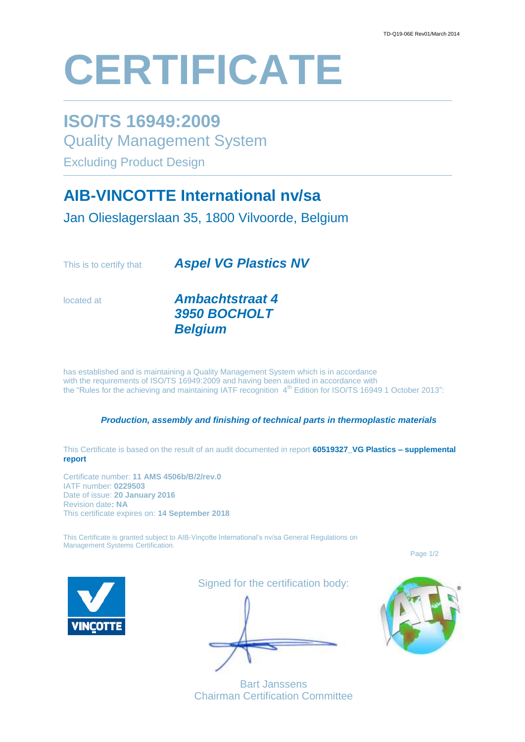# **CERTIFICATE**

### **ISO/TS 16949:2009**

Quality Management System

Excluding Product Design

## **AIB-VINCOTTE International nv/sa**

Jan Olieslagerslaan 35, 1800 Vilvoorde, Belgium

This is to certify that *Aspel VG Plastics NV*

located at *Ambachtstraat 4 3950 BOCHOLT Belgium*

has established and is maintaining a Quality Management System which is in accordance with the requirements of ISO/TS 16949:2009 and having been audited in accordance with the "Rules for the achieving and maintaining IATF recognition 4<sup>th</sup> Edition for ISO/TS 16949 1 October 2013":

#### *Production, assembly and finishing of technical parts in thermoplastic materials*

This Certificate is based on the result of an audit documented in report **60519327\_VG Plastics – supplemental report**

Certificate number: **11 AMS 4506b/B/2/rev.0** IATF number: **0229503** Date of issue: **20 January 2016** Revision date**: NA** This certificate expires on: **14 September 2018**

This Certificate is granted subject to AIB-Vinçotte International's nv/sa General Regulations on Management Systems Certification.

Page 1/2



Signed for the certification body:

Bart Janssens Chairman Certification Committee